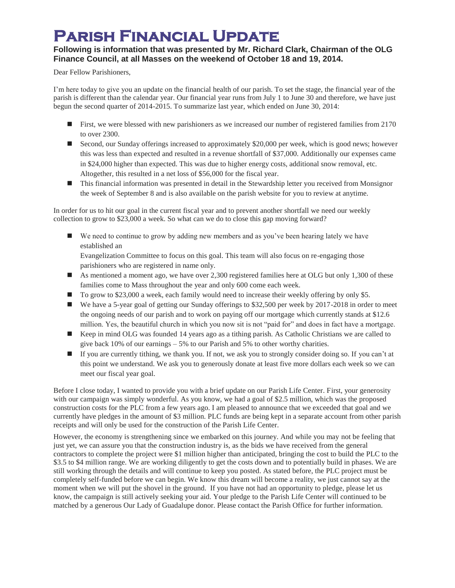# **Parish Financial Update**

#### **Following is information that was presented by Mr. Richard Clark, Chairman of the OLG Finance Council, at all Masses on the weekend of October 18 and 19, 2014.**

Dear Fellow Parishioners,

I'm here today to give you an update on the financial health of our parish. To set the stage, the financial year of the parish is different than the calendar year. Our financial year runs from July 1 to June 30 and therefore, we have just begun the second quarter of 2014-2015. To summarize last year, which ended on June 30, 2014:

- **First, we were blessed with new parishioners as we increased our number of registered families from 2170** to over 2300.
- Second, our Sunday offerings increased to approximately \$20,000 per week, which is good news; however this was less than expected and resulted in a revenue shortfall of \$37,000. Additionally our expenses came in \$24,000 higher than expected. This was due to higher energy costs, additional snow removal, etc. Altogether, this resulted in a net loss of \$56,000 for the fiscal year.
- This financial information was presented in detail in the Stewardship letter you received from Monsignor the week of September 8 and is also available on the parish website for you to review at anytime.

In order for us to hit our goal in the current fiscal year and to prevent another shortfall we need our weekly collection to grow to \$23,000 a week. So what can we do to close this gap moving forward?

 We need to continue to grow by adding new members and as you've been hearing lately we have established an

Evangelization Committee to focus on this goal. This team will also focus on re-engaging those parishioners who are registered in name only.

- As mentioned a moment ago, we have over 2,300 registered families here at OLG but only 1,300 of these families come to Mass throughout the year and only 600 come each week.
- To grow to \$23,000 a week, each family would need to increase their weekly offering by only \$5.
- We have a 5-year goal of getting our Sunday offerings to \$32,500 per week by 2017-2018 in order to meet the ongoing needs of our parish and to work on paying off our mortgage which currently stands at \$12.6 million. Yes, the beautiful church in which you now sit is not "paid for" and does in fact have a mortgage.
- Keep in mind OLG was founded 14 years ago as a tithing parish. As Catholic Christians we are called to give back 10% of our earnings – 5% to our Parish and 5% to other worthy charities.
- If you are currently tithing, we thank you. If not, we ask you to strongly consider doing so. If you can't at this point we understand. We ask you to generously donate at least five more dollars each week so we can meet our fiscal year goal.

Before I close today, I wanted to provide you with a brief update on our Parish Life Center. First, your generosity with our campaign was simply wonderful. As you know, we had a goal of \$2.5 million, which was the proposed construction costs for the PLC from a few years ago. I am pleased to announce that we exceeded that goal and we currently have pledges in the amount of \$3 million. PLC funds are being kept in a separate account from other parish receipts and will only be used for the construction of the Parish Life Center.

However, the economy is strengthening since we embarked on this journey. And while you may not be feeling that just yet, we can assure you that the construction industry is, as the bids we have received from the general contractors to complete the project were \$1 million higher than anticipated, bringing the cost to build the PLC to the \$3.5 to \$4 million range. We are working diligently to get the costs down and to potentially build in phases. We are still working through the details and will continue to keep you posted. As stated before, the PLC project must be completely self-funded before we can begin. We know this dream will become a reality, we just cannot say at the moment when we will put the shovel in the ground. If you have not had an opportunity to pledge, please let us know, the campaign is still actively seeking your aid. Your pledge to the Parish Life Center will continued to be matched by a generous Our Lady of Guadalupe donor. Please contact the Parish Office for further information.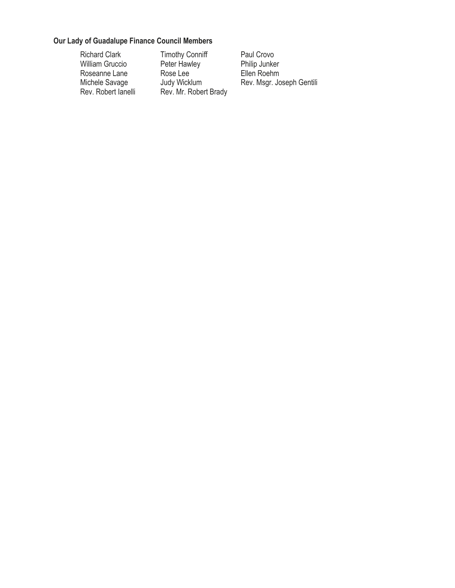#### **Our Lady of Guadalupe Finance Council Members**

Roseanne Lane Rose Lee<br>
Michele Savage Judy Wicklum

Richard Clark Timothy Conniff Paul Crovo<br>
William Gruccio Peter Hawley Philip Junker William Gruccio Peter Hawley Philip Junker<br>
Roseanne Lane Rose Lee Ellen Roehm Michele Savage Judy Wicklum Rev. Msgr. Joseph Gentili<br>Rev. Robert lanelli Rev. Mr. Robert Brady Rev. Mr. Robert Brady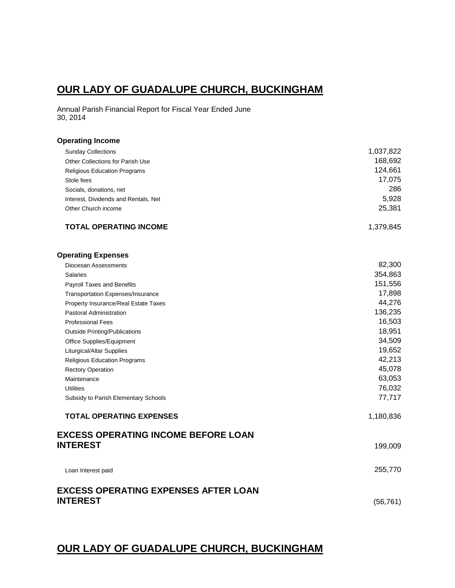## **OUR LADY OF GUADALUPE CHURCH, BUCKINGHAM**

Annual Parish Financial Report for Fiscal Year Ended June 30, 2014

#### **Operating Income** Sunday Collections 1,037,822 Other Collections for Parish Use 168,692 Religious Education Programs 124,661 Stole fees 2008 2009 17,075 Socials, donations, net 286 Interest, Dividends and Rentals, Net 5,928 Other Church income 25,381 **TOTAL OPERATING INCOME** 2.1 and 2.1 and 2.1 and 2.1 and 2.1 and 2.1 and 2.1 and 2.1 and 2.1 and 2.1 and 2.1 and 2.1 and 2.1 and 2.1 and 2.1 and 2.1 and 2.1 and 2.1 and 2.1 and 2.1 and 2.1 and 2.1 and 2.1 and 2.1 and 2.1 a **Operating Expenses** Diocesan Assessments 82,300 Salaries 354,863 Payroll Taxes and Benefits 151,556 Transportation Expenses/Insurance 17,898 Property Insurance/Real Estate Taxes 44,276 Pastoral Administration 136,235 Professional Fees 2006 2007 12:00 12:00 12:00 12:00 12:00 12:00 12:00 12:00 12:00 12:00 12:00 12:00 12:00 12:00 12:00 12:00 12:00 12:00 12:00 12:00 12:00 12:00 12:00 12:00 12:00 12:00 12:00 12:00 12:00 12:00 12:00 12:00 12 Outside Printing/Publications 18,951 Office Supplies/Equipment 34,509 Liturgical/Altar Supplies 19,652 Religious Education Programs 42,213 Rectory Operation **45,078** Maintenance 63,053 Utilities 76,032 Subsidy to Parish Elementary Schools **77,717 TOTAL OPERATING EXPENSES** 1,180,836 **EXCESS OPERATING INCOME BEFORE LOAN INTEREST** 199,009 Loan Interest paid 255,770 **EXCESS OPERATING EXPENSES AFTER LOAN INTEREST** (56,761)

## **OUR LADY OF GUADALUPE CHURCH, BUCKINGHAM**